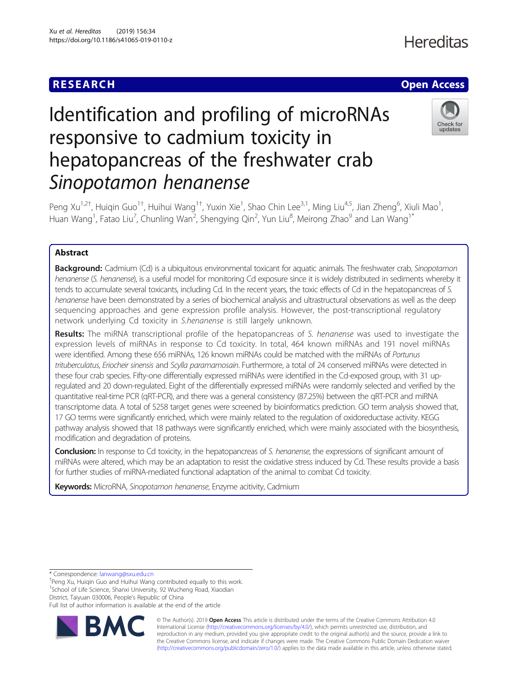## **RESEARCH CHE Open Access**

# Identification and profiling of microRNAs responsive to cadmium toxicity in hepatopancreas of the freshwater crab Sinopotamon henanense



Peng Xu<sup>1,2†</sup>, Huiqin Guo<sup>1†</sup>, Huihui Wang<sup>1†</sup>, Yuxin Xie<sup>1</sup>, Shao Chin Lee<sup>3,1</sup>, Ming Liu<sup>4,5</sup>, Jian Zheng<sup>6</sup>, Xiuli Mao<sup>1</sup> , Huan Wang<sup>1</sup>, Fatao Liu<sup>7</sup>, Chunling Wan<sup>2</sup>, Shengying Qin<sup>2</sup>, Yun Liu<sup>8</sup>, Meirong Zhao<sup>9</sup> and Lan Wang<sup>1\*</sup>

### Abstract

Background: Cadmium (Cd) is a ubiquitous environmental toxicant for aquatic animals. The freshwater crab, Sinopotamon henanense (S. henanense), is a useful model for monitoring Cd exposure since it is widely distributed in sediments whereby it tends to accumulate several toxicants, including Cd. In the recent years, the toxic effects of Cd in the hepatopancreas of S. henanense have been demonstrated by a series of biochemical analysis and ultrastructural observations as well as the deep sequencing approaches and gene expression profile analysis. However, the post-transcriptional regulatory network underlying Cd toxicity in S.henanense is still largely unknown.

Results: The miRNA transcriptional profile of the hepatopancreas of S. henanense was used to investigate the expression levels of miRNAs in response to Cd toxicity. In total, 464 known miRNAs and 191 novel miRNAs were identified. Among these 656 miRNAs, 126 known miRNAs could be matched with the miRNAs of Portunus trituberculatus, Eriocheir sinensis and Scylla paramamosain. Furthermore, a total of 24 conserved miRNAs were detected in these four crab species. Fifty-one differentially expressed miRNAs were identified in the Cd-exposed group, with 31 upregulated and 20 down-regulated. Eight of the differentially expressed miRNAs were randomly selected and verified by the quantitative real-time PCR (qRT-PCR), and there was a general consistency (87.25%) between the qRT-PCR and miRNA transcriptome data. A total of 5258 target genes were screened by bioinformatics prediction. GO term analysis showed that, 17 GO terms were significantly enriched, which were mainly related to the regulation of oxidoreductase activity. KEGG pathway analysis showed that 18 pathways were significantly enriched, which were mainly associated with the biosynthesis, modification and degradation of proteins.

Conclusion: In response to Cd toxicity, in the hepatopancreas of S. henanense, the expressions of significant amount of miRNAs were altered, which may be an adaptation to resist the oxidative stress induced by Cd. These results provide a basis for further studies of miRNA-mediated functional adaptation of the animal to combat Cd toxicity.

Keywords: MicroRNA, Sinopotamon henanense, Enzyme acitivity, Cadmium

\* Correspondence: [lanwang@sxu.edu.cn](mailto:lanwang@sxu.edu.cn) †

<sup>+</sup>Peng Xu, Huiqin Guo and Huihui Wang contributed equally to this work. <sup>1</sup>School of Life Science, Shanxi University, 92 Wucheng Road, Xiaodian District, Taiyuan 030006, People's Republic of China Full list of author information is available at the end of the article



© The Author(s). 2019 **Open Access** This article is distributed under the terms of the Creative Commons Attribution 4.0 International License [\(http://creativecommons.org/licenses/by/4.0/](http://creativecommons.org/licenses/by/4.0/)), which permits unrestricted use, distribution, and reproduction in any medium, provided you give appropriate credit to the original author(s) and the source, provide a link to the Creative Commons license, and indicate if changes were made. The Creative Commons Public Domain Dedication waiver [\(http://creativecommons.org/publicdomain/zero/1.0/](http://creativecommons.org/publicdomain/zero/1.0/)) applies to the data made available in this article, unless otherwise stated.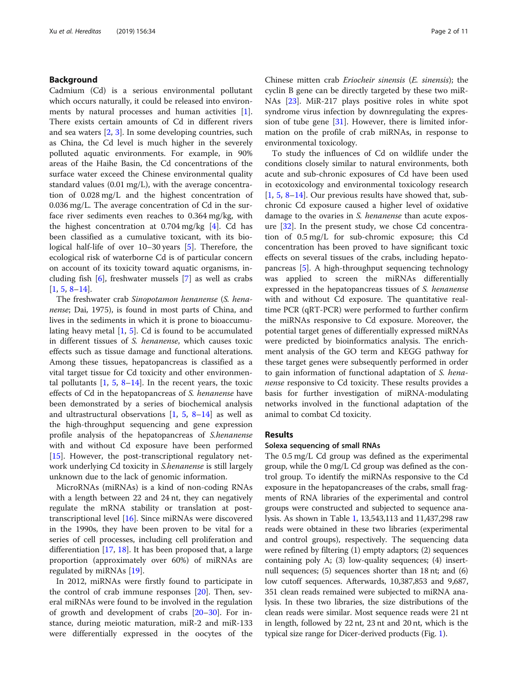#### Background

Cadmium (Cd) is a serious environmental pollutant which occurs naturally, it could be released into environments by natural processes and human activities  $[1]$  $[1]$ . There exists certain amounts of Cd in different rivers and sea waters [[2,](#page-9-0) [3](#page-9-0)]. In some developing countries, such as China, the Cd level is much higher in the severely polluted aquatic environments. For example, in 90% areas of the Haihe Basin, the Cd concentrations of the surface water exceed the Chinese environmental quality standard values (0.01 mg/L), with the average concentration of 0.028 mg/L and the highest concentration of 0.036 mg/L. The average concentration of Cd in the surface river sediments even reaches to 0.364 mg/kg, with the highest concentration at  $0.704$  mg/kg [[4\]](#page-9-0). Cd has been classified as a cumulative toxicant, with its biological half-life of over 10–30 years [\[5](#page-9-0)]. Therefore, the ecological risk of waterborne Cd is of particular concern on account of its toxicity toward aquatic organisms, including fish [[6](#page-9-0)], freshwater mussels [\[7](#page-9-0)] as well as crabs [[1,](#page-9-0) [5,](#page-9-0) [8](#page-9-0)–[14\]](#page-9-0).

The freshwater crab Sinopotamon henanense (S. henanense; Dai, 1975), is found in most parts of China, and lives in the sediments in which it is prone to bioaccumulating heavy metal  $[1, 5]$  $[1, 5]$  $[1, 5]$ . Cd is found to be accumulated in different tissues of S. henanense, which causes toxic effects such as tissue damage and functional alterations. Among these tissues, hepatopancreas is classified as a vital target tissue for Cd toxicity and other environmental pollutants  $\left[1, 5, 8-14\right]$  $\left[1, 5, 8-14\right]$  $\left[1, 5, 8-14\right]$  $\left[1, 5, 8-14\right]$  $\left[1, 5, 8-14\right]$  $\left[1, 5, 8-14\right]$  $\left[1, 5, 8-14\right]$  $\left[1, 5, 8-14\right]$  $\left[1, 5, 8-14\right]$ . In the recent years, the toxic effects of Cd in the hepatopancreas of S. henanense have been demonstrated by a series of biochemical analysis and ultrastructural observations  $[1, 5, 8-14]$  $[1, 5, 8-14]$  $[1, 5, 8-14]$  $[1, 5, 8-14]$  $[1, 5, 8-14]$  $[1, 5, 8-14]$  $[1, 5, 8-14]$  $[1, 5, 8-14]$  $[1, 5, 8-14]$  as well as the high-throughput sequencing and gene expression profile analysis of the hepatopancreas of S.henanense with and without Cd exposure have been performed [[15\]](#page-9-0). However, the post-transcriptional regulatory network underlying Cd toxicity in S.henanense is still largely unknown due to the lack of genomic information.

MicroRNAs (miRNAs) is a kind of non-coding RNAs with a length between 22 and 24 nt, they can negatively regulate the mRNA stability or translation at posttranscriptional level [[16\]](#page-9-0). Since miRNAs were discovered in the 1990s, they have been proven to be vital for a series of cell processes, including cell proliferation and differentiation [[17](#page-9-0), [18](#page-9-0)]. It has been proposed that, a large proportion (approximately over 60%) of miRNAs are regulated by miRNAs [\[19\]](#page-9-0).

In 2012, miRNAs were firstly found to participate in the control of crab immune responses [[20\]](#page-9-0). Then, several miRNAs were found to be involved in the regulation of growth and development of crabs  $[20-30]$  $[20-30]$  $[20-30]$ . For instance, during meiotic maturation, miR-2 and miR-133 were differentially expressed in the oocytes of the

Chinese mitten crab Eriocheir sinensis (E. sinensis); the cyclin B gene can be directly targeted by these two miR-NAs [\[23](#page-10-0)]. MiR-217 plays positive roles in white spot syndrome virus infection by downregulating the expression of tube gene [[31](#page-10-0)]. However, there is limited information on the profile of crab miRNAs, in response to environmental toxicology.

To study the influences of Cd on wildlife under the conditions closely similar to natural environments, both acute and sub-chronic exposures of Cd have been used in ecotoxicology and environmental toxicology research  $[1, 5, 8-14]$  $[1, 5, 8-14]$  $[1, 5, 8-14]$  $[1, 5, 8-14]$  $[1, 5, 8-14]$  $[1, 5, 8-14]$  $[1, 5, 8-14]$  $[1, 5, 8-14]$ . Our previous results have showed that, subchronic Cd exposure caused a higher level of oxidative damage to the ovaries in S. henanense than acute exposure  $[32]$  $[32]$ . In the present study, we chose Cd concentration of 0.5 mg/L for sub-chromic exposure; this Cd concentration has been proved to have significant toxic effects on several tissues of the crabs, including hepatopancreas [[5](#page-9-0)]. A high-throughput sequencing technology was applied to screen the miRNAs differentially expressed in the hepatopancreas tissues of S. henanense with and without Cd exposure. The quantitative realtime PCR (qRT-PCR) were performed to further confirm the miRNAs responsive to Cd exposure. Moreover, the potential target genes of differentially expressed miRNAs were predicted by bioinformatics analysis. The enrichment analysis of the GO term and KEGG pathway for these target genes were subsequently performed in order to gain information of functional adaptation of S. henanense responsive to Cd toxicity. These results provides a basis for further investigation of miRNA-modulating networks involved in the functional adaptation of the animal to combat Cd toxicity.

#### Results

#### Solexa sequencing of small RNAs

The 0.5 mg/L Cd group was defined as the experimental group, while the 0 mg/L Cd group was defined as the control group. To identify the miRNAs responsive to the Cd exposure in the hepatopancreases of the crabs, small fragments of RNA libraries of the experimental and control groups were constructed and subjected to sequence analysis. As shown in Table [1,](#page-2-0) 13,543,113 and 11,437,298 raw reads were obtained in these two libraries (experimental and control groups), respectively. The sequencing data were refined by filtering (1) empty adaptors; (2) sequences containing poly A; (3) low-quality sequences; (4) insertnull sequences; (5) sequences shorter than 18 nt; and (6) low cutoff sequences. Afterwards, 10,387,853 and 9,687, 351 clean reads remained were subjected to miRNA analysis. In these two libraries, the size distributions of the clean reads were similar. Most sequence reads were 21 nt in length, followed by 22 nt, 23 nt and 20 nt, which is the typical size range for Dicer-derived products (Fig. [1](#page-2-0)).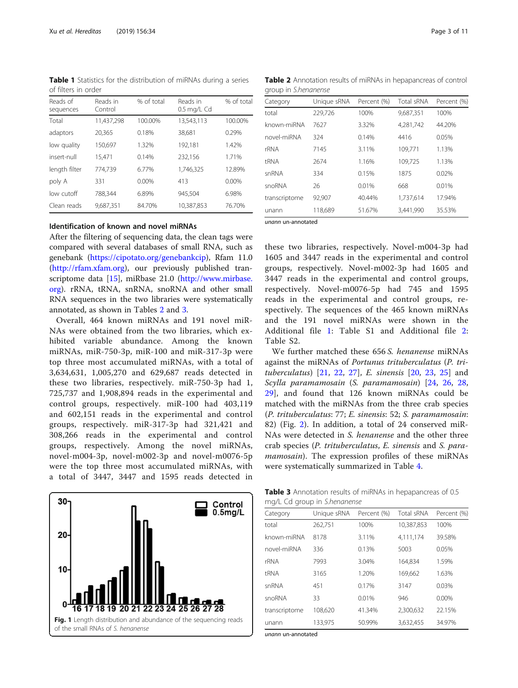<span id="page-2-0"></span>Table 1 Statistics for the distribution of miRNAs during a series of filters in order

| Reads of<br>sequences | Reads in<br>Control | % of total | Reads in<br>$0.5$ mg/L Cd | % of total |
|-----------------------|---------------------|------------|---------------------------|------------|
| Total                 | 11.437.298          | 100.00%    | 13.543.113                | 100.00%    |
| adaptors              | 20,365              | 0.18%      | 38,681                    | 0.29%      |
| low quality           | 150,697             | 1.32%      | 192,181                   | 1.42%      |
| insert-null           | 15,471              | 0.14%      | 232,156                   | 1.71%      |
| length filter         | 774.739             | 6.77%      | 1,746,325                 | 12.89%     |
| poly A                | 331                 | $0.00\%$   | 413                       | $0.00\%$   |
| low cutoff            | 788.344             | 6.89%      | 945.504                   | 6.98%      |
| Clean reads           | 9.687.351           | 84.70%     | 10.387.853                | 76.70%     |

#### Identification of known and novel miRNAs

After the filtering of sequencing data, the clean tags were compared with several databases of small RNA, such as genebank ([https://cipotato.org/genebankcip\)](https://cipotato.org/genebankcip), Rfam 11.0 (<http://rfam.xfam.org>), our previously published transcriptome data [[15](#page-9-0)], miRbase 21.0 [\(http://www.mirbase.](http://www.mirbase.org) [org](http://www.mirbase.org)). rRNA, tRNA, snRNA, snoRNA and other small RNA sequences in the two libraries were systematically annotated, as shown in Tables 2 and 3.

Overall, 464 known miRNAs and 191 novel miR-NAs were obtained from the two libraries, which exhibited variable abundance. Among the known miRNAs, miR-750-3p, miR-100 and miR-317-3p were top three most accumulated miRNAs, with a total of 3,634,631, 1,005,270 and 629,687 reads detected in these two libraries, respectively. miR-750-3p had 1, 725,737 and 1,908,894 reads in the experimental and control groups, respectively. miR-100 had 403,119 and 602,151 reads in the experimental and control groups, respectively. miR-317-3p had 321,421 and 308,266 reads in the experimental and control groups, respectively. Among the novel miRNAs, novel-m004-3p, novel-m002-3p and novel-m0076-5p were the top three most accumulated miRNAs, with a total of 3447, 3447 and 1595 reads detected in



| Table 2 Annotation results of miRNAs in hepapancreas of control |  |  |
|-----------------------------------------------------------------|--|--|
| group in S.henanense                                            |  |  |

| Category      | Unique sRNA | Percent (%) | Total sRNA | Percent (%) |
|---------------|-------------|-------------|------------|-------------|
| total         | 229,726     | 100%        | 9,687,351  | 100%        |
| known-miRNA   | 7627        | 3.32%       | 4,281,742  | 44.20%      |
| novel-miRNA   | 324         | 0.14%       | 4416       | 0.05%       |
| rRNA          | 7145        | 3.11%       | 109.771    | 1.13%       |
| <b>tRNA</b>   | 2674        | 1.16%       | 109,725    | 1.13%       |
| snRNA         | 334         | 0.15%       | 1875       | 0.02%       |
| snoRNA        | 26          | 0.01%       | 668        | 0.01%       |
| transcriptome | 92,907      | 40.44%      | 1,737,614  | 17.94%      |
| unann         | 118,689     | 51.67%      | 3,441,990  | 35.53%      |
|               |             |             |            |             |

unann un-annotated

these two libraries, respectively. Novel-m004-3p had 1605 and 3447 reads in the experimental and control groups, respectively. Novel-m002-3p had 1605 and 3447 reads in the experimental and control groups, respectively. Novel-m0076-5p had 745 and 1595 reads in the experimental and control groups, respectively. The sequences of the 465 known miRNAs and the 191 novel miRNAs were shown in the Additional file [1](#page-9-0): Table S1 and Additional file [2](#page-9-0): Table S2.

We further matched these 656 S. henanense miRNAs against the miRNAs of Portunus trituberculatus (P. trituberculatus) [[21,](#page-10-0) [22](#page-10-0), [27\]](#page-10-0), E. sinensis [\[20](#page-9-0), [23,](#page-10-0) [25\]](#page-10-0) and Scylla paramamosain (S. paramamosain) [[24,](#page-10-0) [26](#page-10-0), [28](#page-10-0), [29\]](#page-10-0), and found that 126 known miRNAs could be matched with the miRNAs from the three crab species (P. trituberculatus: 77; E. sinensis: 52; S. paramamosain: 82) (Fig. [2\)](#page-3-0). In addition, a total of 24 conserved miR-NAs were detected in S. henanense and the other three crab species (P. trituberculatus, E. sinensis and S. paramamosain). The expression profiles of these miRNAs were systematically summarized in Table [4](#page-4-0).

Table 3 Annotation results of miRNAs in hepapancreas of 0.5 mg/L Cd group in S.henanense

| Category      | Unique sRNA | Percent (%) | Total sRNA | Percent (%) |
|---------------|-------------|-------------|------------|-------------|
| total         | 262,751     | 100%        | 10.387.853 | 100%        |
| known-miRNA   | 8178        | 3.11%       | 4.111.174  | 39.58%      |
| novel-miRNA   | 336         | 0.13%       | 5003       | 0.05%       |
| rRNA          | 7993        | 3.04%       | 164,834    | 1.59%       |
| <b>tRNA</b>   | 3165        | 1.20%       | 169.662    | 1.63%       |
| snRNA         | 451         | 0.17%       | 3147       | 0.03%       |
| snoRNA        | 33          | 0.01%       | 946        | $0.00\%$    |
| transcriptome | 108.620     | 41.34%      | 2.300.632  | 22.15%      |
| unann         | 133,975     | 50.99%      | 3,632,455  | 34.97%      |

unann un-annotated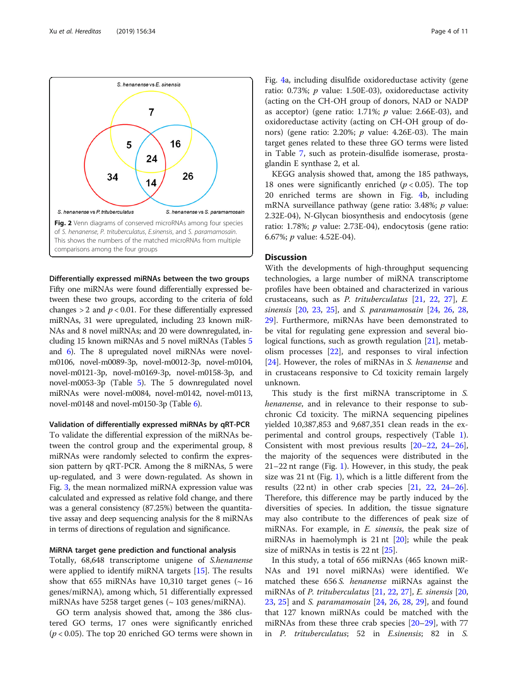<span id="page-3-0"></span>

Differentially expressed miRNAs between the two groups Fifty one miRNAs were found differentially expressed between these two groups, according to the criteria of fold changes  $> 2$  and  $p < 0.01$ . For these differentially expressed miRNAs, 31 were upregulated, including 23 known miR-NAs and 8 novel miRNAs; and 20 were downregulated, including 15 known miRNAs and 5 novel miRNAs (Tables [5](#page-5-0) and [6\)](#page-6-0). The 8 upregulated novel miRNAs were novelm0106, novel-m0089-3p, novel-m0012-3p, novel-m0104, novel-m0121-3p, novel-m0169-3p, novel-m0158-3p, and novel-m0053-3p (Table [5\)](#page-5-0). The 5 downregulated novel miRNAs were novel-m0084, novel-m0142, novel-m0113, novel-m0148 and novel-m0150-3p (Table [6](#page-6-0)).

Validation of differentially expressed miRNAs by qRT-PCR

To validate the differential expression of the miRNAs between the control group and the experimental group, 8 miRNAs were randomly selected to confirm the expression pattern by qRT-PCR. Among the 8 miRNAs, 5 were up-regulated, and 3 were down-regulated. As shown in Fig. [3,](#page-6-0) the mean normalized miRNA expression value was calculated and expressed as relative fold change, and there was a general consistency (87.25%) between the quantitative assay and deep sequencing analysis for the 8 miRNAs in terms of directions of regulation and significance.

#### MiRNA target gene prediction and functional analysis

Totally, 68,648 transcriptome unigene of S.henanense were applied to identify miRNA targets [[15\]](#page-9-0). The results show that 655 miRNAs have 10,310 target genes  $($   $\sim$  16 genes/miRNA), among which, 51 differentially expressed miRNAs have 5258 target genes ( $\sim$  103 genes/miRNA).

GO term analysis showed that, among the 386 clustered GO terms, 17 ones were significantly enriched  $(p < 0.05)$ . The top 20 enriched GO terms were shown in

Fig. [4a](#page-7-0), including disulfide oxidoreductase activity (gene ratio: 0.73%;  $p$  value: 1.50E-03), oxidoreductase activity (acting on the CH-OH group of donors, NAD or NADP as acceptor) (gene ratio: 1.71%;  $p$  value: 2.66E-03), and oxidoreductase activity (acting on CH-OH group of donors) (gene ratio: 2.20%;  $p$  value: 4.26E-03). The main target genes related to these three GO terms were listed in Table [7](#page-8-0), such as protein-disulfide isomerase, prostaglandin E synthase 2, et al.

KEGG analysis showed that, among the 185 pathways, 18 ones were significantly enriched ( $p < 0.05$ ). The top 20 enriched terms are shown in Fig. [4](#page-7-0)b, including mRNA surveillance pathway (gene ratio: 3.48%; p value: 2.32E-04), N-Glycan biosynthesis and endocytosis (gene ratio: 1.78%; p value: 2.73E-04), endocytosis (gene ratio: 6.67%; p value: 4.52E-04).

#### **Discussion**

With the developments of high-throughput sequencing technologies, a large number of miRNA transcriptome profiles have been obtained and characterized in various crustaceans, such as P. trituberculatus [[21,](#page-10-0) [22,](#page-10-0) [27\]](#page-10-0), E. sinensis [[20,](#page-9-0) [23,](#page-10-0) [25](#page-10-0)], and S. paramamosain [\[24,](#page-10-0) [26](#page-10-0), [28](#page-10-0), [29\]](#page-10-0). Furthermore, miRNAs have been demonstrated to be vital for regulating gene expression and several bio-logical functions, such as growth regulation [\[21](#page-10-0)], metabolism processes [[22](#page-10-0)], and responses to viral infection [[24\]](#page-10-0). However, the roles of miRNAs in S. henanense and in crustaceans responsive to Cd toxicity remain largely unknown.

This study is the first miRNA transcriptome in S. henanense, and in relevance to their response to subchronic Cd toxicity. The miRNA sequencing pipelines yielded 10,387,853 and 9,687,351 clean reads in the experimental and control groups, respectively (Table [1](#page-2-0)). Consistent with most previous results [\[20](#page-9-0)–[22,](#page-10-0) [24](#page-10-0)–[26](#page-10-0)], the majority of the sequences were distributed in the 21–22 nt range (Fig. [1\)](#page-2-0). However, in this study, the peak size was 21 nt (Fig. [1](#page-2-0)), which is a little different from the results  $(22 \text{ nt})$  in other crab species  $[21, 22, 24-26]$  $[21, 22, 24-26]$  $[21, 22, 24-26]$  $[21, 22, 24-26]$  $[21, 22, 24-26]$  $[21, 22, 24-26]$  $[21, 22, 24-26]$  $[21, 22, 24-26]$ . Therefore, this difference may be partly induced by the diversities of species. In addition, the tissue signature may also contribute to the differences of peak size of miRNAs. For example, in *E. sinensis*, the peak size of miRNAs in haemolymph is 21 nt [\[20\]](#page-9-0); while the peak size of miRNAs in testis is 22 nt [[25\]](#page-10-0).

In this study, a total of 656 miRNAs (465 known miR-NAs and 191 novel miRNAs) were identified. We matched these 656 S. *henanense* miRNAs against the miRNAs of P. trituberculatus [[21,](#page-10-0) [22,](#page-10-0) [27\]](#page-10-0), E. sinensis [[20](#page-9-0), [23,](#page-10-0) [25\]](#page-10-0) and S. paramamosain [[24](#page-10-0), [26,](#page-10-0) [28,](#page-10-0) [29\]](#page-10-0), and found that 127 known miRNAs could be matched with the miRNAs from these three crab species [[20](#page-9-0)–[29](#page-10-0)], with 77 in P. trituberculatus; 52 in E.sinensis; 82 in S.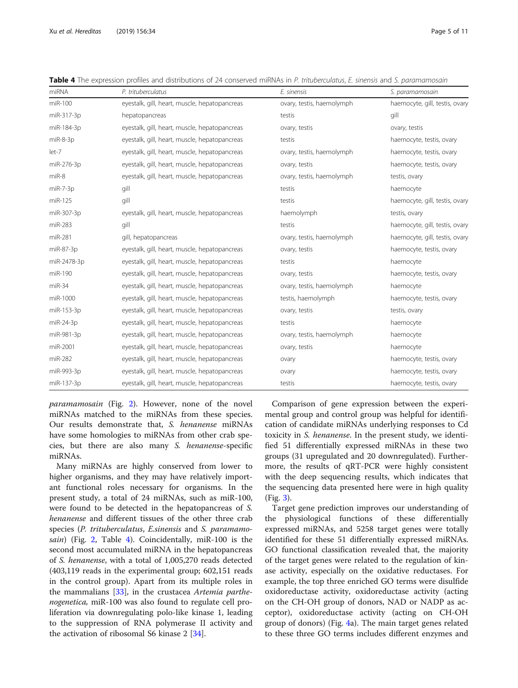| miRNA       | P. trituberculatus                            | E. sinensis               | S. paramamosain                |  |
|-------------|-----------------------------------------------|---------------------------|--------------------------------|--|
| $miR-100$   | eyestalk, gill, heart, muscle, hepatopancreas | ovary, testis, haemolymph | haemocyte, gill, testis, ovary |  |
| miR-317-3p  | hepatopancreas                                | testis                    | gill                           |  |
| miR-184-3p  | eyestalk, gill, heart, muscle, hepatopancreas | ovary, testis             | ovary, testis                  |  |
| $miR-8-3p$  | eyestalk, gill, heart, muscle, hepatopancreas | testis                    | haemocyte, testis, ovary       |  |
| let-7       | eyestalk, gill, heart, muscle, hepatopancreas | ovary, testis, haemolymph | haemocyte, testis, ovary       |  |
| miR-276-3p  | eyestalk, gill, heart, muscle, hepatopancreas | ovary, testis             | haemocyte, testis, ovary       |  |
| $miR-8$     | eyestalk, gill, heart, muscle, hepatopancreas | ovary, testis, haemolymph | testis, ovary                  |  |
| $miR-7-3p$  | gill                                          | testis                    | haemocyte                      |  |
| miR-125     | gill                                          | testis                    | haemocyte, gill, testis, ovary |  |
| miR-307-3p  | eyestalk, gill, heart, muscle, hepatopancreas | haemolymph                | testis, ovary                  |  |
| miR-283     | gill                                          | testis                    | haemocyte, gill, testis, ovary |  |
| miR-281     | gill, hepatopancreas                          | ovary, testis, haemolymph | haemocyte, gill, testis, ovary |  |
| miR-87-3p   | eyestalk, gill, heart, muscle, hepatopancreas | ovary, testis             | haemocyte, testis, ovary       |  |
| miR-2478-3p | eyestalk, gill, heart, muscle, hepatopancreas | testis                    | haemocyte                      |  |
| miR-190     | eyestalk, gill, heart, muscle, hepatopancreas | ovary, testis             | haemocyte, testis, ovary       |  |
| $miR-34$    | eyestalk, gill, heart, muscle, hepatopancreas | ovary, testis, haemolymph | haemocyte                      |  |
| miR-1000    | eyestalk, gill, heart, muscle, hepatopancreas | testis, haemolymph        | haemocyte, testis, ovary       |  |
| miR-153-3p  | eyestalk, gill, heart, muscle, hepatopancreas | ovary, testis             | testis, ovary                  |  |
| $miR-24-3p$ | eyestalk, gill, heart, muscle, hepatopancreas | testis                    | haemocyte                      |  |
| miR-981-3p  | eyestalk, gill, heart, muscle, hepatopancreas | ovary, testis, haemolymph | haemocyte                      |  |
| miR-2001    | eyestalk, gill, heart, muscle, hepatopancreas | ovary, testis             | haemocyte                      |  |
| miR-282     | eyestalk, gill, heart, muscle, hepatopancreas | ovary                     | haemocyte, testis, ovary       |  |
| miR-993-3p  | eyestalk, gill, heart, muscle, hepatopancreas | ovary                     | haemocyte, testis, ovary       |  |
| miR-137-3p  | eyestalk, gill, heart, muscle, hepatopancreas | testis                    | haemocyte, testis, ovary       |  |

<span id="page-4-0"></span>Table 4 The expression profiles and distributions of 24 conserved miRNAs in P. trituberculatus, E. sinensis and S. paramamosain

paramamosain (Fig. [2](#page-3-0)). However, none of the novel miRNAs matched to the miRNAs from these species. Our results demonstrate that, S. henanense miRNAs have some homologies to miRNAs from other crab species, but there are also many S. henanense-specific miRNAs.

Many miRNAs are highly conserved from lower to higher organisms, and they may have relatively important functional roles necessary for organisms. In the present study, a total of 24 miRNAs, such as miR-100, were found to be detected in the hepatopancreas of S. henanense and different tissues of the other three crab species (P. trituberculatus, E.sinensis and S. paramamo-sain) (Fig. [2](#page-3-0), Table 4). Coincidentally, miR-100 is the second most accumulated miRNA in the hepatopancreas of S. henanense, with a total of 1,005,270 reads detected (403,119 reads in the experimental group; 602,151 reads in the control group). Apart from its multiple roles in the mammalians [[33\]](#page-10-0), in the crustacea Artemia parthenogenetica, miR-100 was also found to regulate cell proliferation via downregulating polo-like kinase 1, leading to the suppression of RNA polymerase II activity and the activation of ribosomal S6 kinase 2 [[34\]](#page-10-0).

Comparison of gene expression between the experimental group and control group was helpful for identification of candidate miRNAs underlying responses to Cd toxicity in S. henanense. In the present study, we identified 51 differentially expressed miRNAs in these two groups (31 upregulated and 20 downregulated). Furthermore, the results of qRT-PCR were highly consistent with the deep sequencing results, which indicates that the sequencing data presented here were in high quality (Fig. [3](#page-6-0)).

Target gene prediction improves our understanding of the physiological functions of these differentially expressed miRNAs, and 5258 target genes were totally identified for these 51 differentially expressed miRNAs. GO functional classification revealed that, the majority of the target genes were related to the regulation of kinase activity, especially on the oxidative reductases. For example, the top three enriched GO terms were disulfide oxidoreductase activity, oxidoreductase activity (acting on the CH-OH group of donors, NAD or NADP as acceptor), oxidoreductase activity (acting on CH-OH group of donors) (Fig. [4a](#page-7-0)). The main target genes related to these three GO terms includes different enzymes and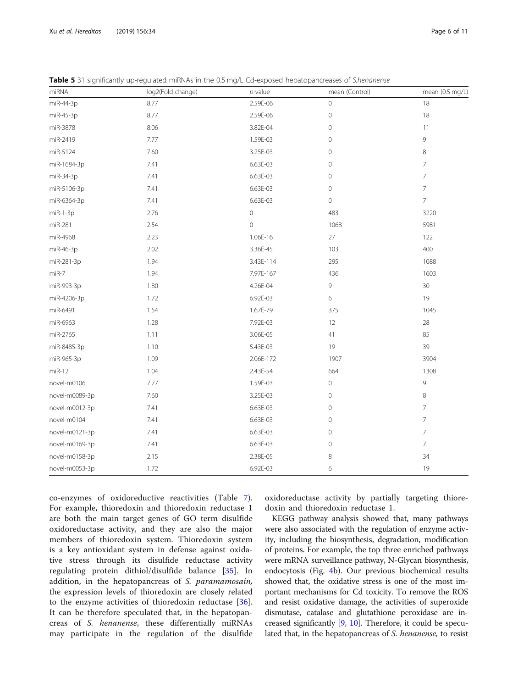<span id="page-5-0"></span>

|  | Table 5 31 significantly up-regulated miRNAs in the 0.5 mg/L Cd-exposed hepatopancreases of S.henanense |  |  |  |  |
|--|---------------------------------------------------------------------------------------------------------|--|--|--|--|
|  |                                                                                                         |  |  |  |  |

| miRNA          | log2(Fold change) | $p$ -value  | mean (Control) | mean (0.5 mg/L) |
|----------------|-------------------|-------------|----------------|-----------------|
| miR-44-3p      | 8.77              | 2.59E-06    | 0              | 18              |
| miR-45-3p      | 8.77              | 2.59E-06    | $\mathbf 0$    | $18\,$          |
| miR-3878       | 8.06              | 3.82E-04    | $\mathbf 0$    | 11              |
| miR-2419       | 7.77              | 1.59E-03    | $\mathbf 0$    | 9               |
| miR-5124       | 7.60              | 3.25E-03    | 0              | 8               |
| miR-1684-3p    | 7.41              | 6.63E-03    | 0              | 7               |
| miR-34-3p      | 7.41              | 6.63E-03    | $\mathbf 0$    | $\overline{7}$  |
| miR-5106-3p    | 7.41              | 6.63E-03    | $\mathbf 0$    | $\overline{7}$  |
| miR-6364-3p    | 7.41              | 6.63E-03    | $\mathbf 0$    | $\overline{7}$  |
| $miR-1-3p$     | 2.76              | $\cal O$    | 483            | 3220            |
| miR-281        | 2.54              | $\mathbf 0$ | 1068           | 5981            |
| miR-4968       | 2.23              | 1.06E-16    | 27             | 122             |
| miR-46-3p      | 2.02              | 3.36E-45    | 103            | 400             |
| miR-281-3p     | 1.94              | 3.43E-114   | 295            | 1088            |
| $miR-7$        | 1.94              | 7.97E-167   | 436            | 1603            |
| miR-993-3p     | 1.80              | 4.26E-04    | 9              | 30 <sub>o</sub> |
| miR-4206-3p    | 1.72              | 6.92E-03    | 6              | 19              |
| miR-6491       | 1.54              | 1.67E-79    | 375            | 1045            |
| miR-6963       | 1.28              | 7.92E-03    | 12             | 28              |
| miR-2765       | 1.11              | 3.06E-05    | 41             | 85              |
| miR-8485-3p    | 1.10              | 5.43E-03    | 19             | 39              |
| miR-965-3p     | 1.09              | 2.06E-172   | 1907           | 3904            |
| $miR-12$       | 1.04              | 2.43E-54    | 664            | 1308            |
| novel-m0106    | 7.77              | 1.59E-03    | $\mathbf 0$    | 9               |
| novel-m0089-3p | 7.60              | 3.25E-03    | $\mathbf 0$    | 8               |
| novel-m0012-3p | 7.41              | 6.63E-03    | $\mathbf 0$    | $\overline{7}$  |
| novel-m0104    | 7.41              | 6.63E-03    | 0              | $\overline{7}$  |
| novel-m0121-3p | 7.41              | 6.63E-03    | 0              | $\overline{7}$  |
| novel-m0169-3p | 7.41              | 6.63E-03    | $\mathbf 0$    | $\overline{7}$  |
| novel-m0158-3p | 2.15              | 2.38E-05    | 8              | 34              |
| novel-m0053-3p | 1.72              | 6.92E-03    | 6              | 19              |

co-enzymes of oxidoreductive reactivities (Table [7](#page-8-0)). For example, thioredoxin and thioredoxin reductase 1 are both the main target genes of GO term disulfide oxidoreductase activity, and they are also the major members of thioredoxin system. Thioredoxin system is a key antioxidant system in defense against oxidative stress through its disulfide reductase activity regulating protein dithiol/disulfide balance [[35\]](#page-10-0). In addition, in the hepatopancreas of S. paramamosain, the expression levels of thioredoxin are closely related to the enzyme activities of thioredoxin reductase [\[36](#page-10-0)]. It can be therefore speculated that, in the hepatopancreas of S. henanense, these differentially miRNAs may participate in the regulation of the disulfide

oxidoreductase activity by partially targeting thioredoxin and thioredoxin reductase 1.

KEGG pathway analysis showed that, many pathways were also associated with the regulation of enzyme activity, including the biosynthesis, degradation, modification of proteins. For example, the top three enriched pathways were mRNA surveillance pathway, N-Glycan biosynthesis, endocytosis (Fig. [4](#page-7-0)b). Our previous biochemical results showed that, the oxidative stress is one of the most important mechanisms for Cd toxicity. To remove the ROS and resist oxidative damage, the activities of superoxide dismutase, catalase and glutathione peroxidase are increased significantly [[9,](#page-9-0) [10\]](#page-9-0). Therefore, it could be speculated that, in the hepatopancreas of S. henanense, to resist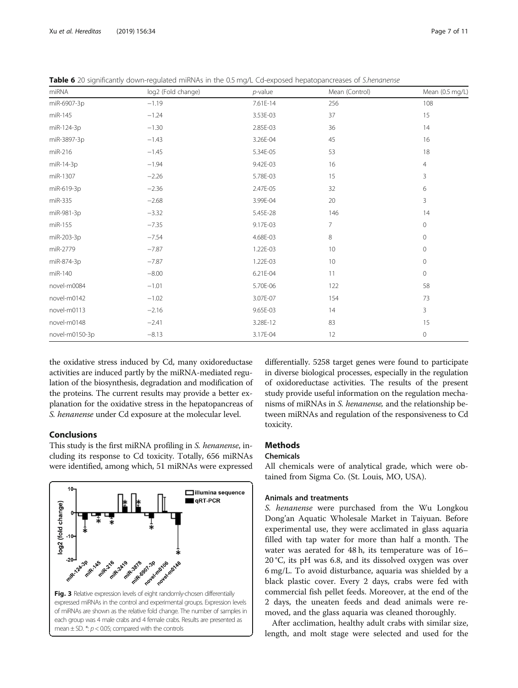<span id="page-6-0"></span>

| Table 6 20 significantly down-regulated miRNAs in the 0.5 mg/L Cd-exposed hepatopancreases of S.henanense |
|-----------------------------------------------------------------------------------------------------------|
|-----------------------------------------------------------------------------------------------------------|

| miRNA          | log2 (Fold change) | $p$ -value | Mean (Control) | Mean (0.5 mg/L) |
|----------------|--------------------|------------|----------------|-----------------|
| miR-6907-3p    | $-1.19$            | 7.61E-14   | 256            | 108             |
| miR-145        | $-1.24$            | 3.53E-03   | 37             | 15              |
| miR-124-3p     | $-1.30$            | 2.85E-03   | 36             | 14              |
| miR-3897-3p    | $-1.43$            | 3.26E-04   | 45             | 16              |
| miR-216        | $-1.45$            | 5.34E-05   | 53             | 18              |
| miR-14-3p      | $-1.94$            | 9.42E-03   | 16             | $\overline{4}$  |
| miR-1307       | $-2.26$            | 5.78E-03   | 15             | 3               |
| miR-619-3p     | $-2.36$            | 2.47E-05   | 32             | 6               |
| miR-335        | $-2.68$            | 3.99E-04   | 20             | $\overline{3}$  |
| miR-981-3p     | $-3.32$            | 5.45E-28   | 146            | 14              |
| miR-155        | $-7.35$            | 9.17E-03   | $\overline{7}$ | 0               |
| miR-203-3p     | $-7.54$            | 4.68E-03   | 8              | 0               |
| miR-2779       | $-7.87$            | 1.22E-03   | 10             | 0               |
| miR-874-3p     | $-7.87$            | 1.22E-03   | 10             | $\circ$         |
| miR-140        | $-8.00$            | 6.21E-04   | 11             | 0               |
| novel-m0084    | $-1.01$            | 5.70E-06   | 122            | 58              |
| novel-m0142    | $-1.02$            | 3.07E-07   | 154            | 73              |
| novel-m0113    | $-2.16$            | 9.65E-03   | 14             | 3               |
| novel-m0148    | $-2.41$            | 3.28E-12   | 83             | 15              |
| novel-m0150-3p | $-8.13$            | 3.17E-04   | 12             | 0               |

the oxidative stress induced by Cd, many oxidoreductase activities are induced partly by the miRNA-mediated regulation of the biosynthesis, degradation and modification of the proteins. The current results may provide a better explanation for the oxidative stress in the hepatopancreas of S. henanense under Cd exposure at the molecular level.

#### Conclusions

This study is the first miRNA profiling in S. henanense, including its response to Cd toxicity. Totally, 656 miRNAs were identified, among which, 51 miRNAs were expressed



differentially. 5258 target genes were found to participate in diverse biological processes, especially in the regulation of oxidoreductase activities. The results of the present study provide useful information on the regulation mechanisms of miRNAs in S. henanense, and the relationship between miRNAs and regulation of the responsiveness to Cd toxicity.

#### **Methods**

#### Chemicals

All chemicals were of analytical grade, which were obtained from Sigma Co. (St. Louis, MO, USA).

#### Animals and treatments

S. henanense were purchased from the Wu Longkou Dong'an Aquatic Wholesale Market in Taiyuan. Before experimental use, they were acclimated in glass aquaria filled with tap water for more than half a month. The water was aerated for 48 h, its temperature was of 16– 20 °C, its pH was 6.8, and its dissolved oxygen was over 6 mg/L. To avoid disturbance, aquaria was shielded by a black plastic cover. Every 2 days, crabs were fed with commercial fish pellet feeds. Moreover, at the end of the 2 days, the uneaten feeds and dead animals were removed, and the glass aquaria was cleaned thoroughly.

After acclimation, healthy adult crabs with similar size, length, and molt stage were selected and used for the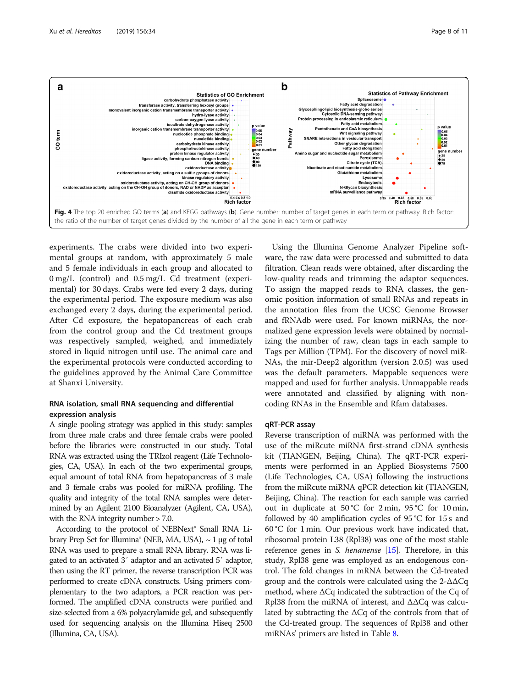<span id="page-7-0"></span>

experiments. The crabs were divided into two experimental groups at random, with approximately 5 male and 5 female individuals in each group and allocated to 0 mg/L (control) and 0.5 mg/L Cd treatment (experimental) for 30 days. Crabs were fed every 2 days, during the experimental period. The exposure medium was also exchanged every 2 days, during the experimental period. After Cd exposure, the hepatopancreas of each crab from the control group and the Cd treatment groups was respectively sampled, weighed, and immediately stored in liquid nitrogen until use. The animal care and the experimental protocols were conducted according to the guidelines approved by the Animal Care Committee at Shanxi University.

#### RNA isolation, small RNA sequencing and differential expression analysis

A single pooling strategy was applied in this study: samples from three male crabs and three female crabs were pooled before the libraries were constructed in our study. Total RNA was extracted using the TRIzol reagent (Life Technologies, CA, USA). In each of the two experimental groups, equal amount of total RNA from hepatopancreas of 3 male and 3 female crabs was pooled for miRNA profiling. The quality and integrity of the total RNA samples were determined by an Agilent 2100 Bioanalyzer (Agilent, CA, USA), with the RNA integrity number > 7.0.

According to the protocol of NEBNext® Small RNA Library Prep Set for Illumina® (NEB, MA, USA),  $\sim$  1 μg of total RNA was used to prepare a small RNA library. RNA was ligated to an activated 3′ adaptor and an activated 5′ adaptor, then using the RT primer, the reverse transcription PCR was performed to create cDNA constructs. Using primers complementary to the two adaptors, a PCR reaction was performed. The amplified cDNA constructs were purified and size-selected from a 6% polyacrylamide gel, and subsequently used for sequencing analysis on the Illumina Hiseq 2500 (Illumina, CA, USA).

Using the Illumina Genome Analyzer Pipeline software, the raw data were processed and submitted to data filtration. Clean reads were obtained, after discarding the low-quality reads and trimming the adaptor sequences. To assign the mapped reads to RNA classes, the genomic position information of small RNAs and repeats in the annotation files from the UCSC Genome Browser and fRNAdb were used. For known miRNAs, the normalized gene expression levels were obtained by normalizing the number of raw, clean tags in each sample to Tags per Million (TPM). For the discovery of novel miR-NAs, the mir-Deep2 algorithm (version 2.0.5) was used was the default parameters. Mappable sequences were mapped and used for further analysis. Unmappable reads were annotated and classified by aligning with noncoding RNAs in the Ensemble and Rfam databases.

#### qRT-PCR assay

Reverse transcription of miRNA was performed with the use of the miRcute miRNA first-strand cDNA synthesis kit (TIANGEN, Beijing, China). The qRT-PCR experiments were performed in an Applied Biosystems 7500 (Life Technologies, CA, USA) following the instructions from the miRcute miRNA qPCR detection kit (TIANGEN, Beijing, China). The reaction for each sample was carried out in duplicate at 50 °C for 2 min, 95 °C for 10 min, followed by 40 amplification cycles of 95 °C for 15 s and 60 °C for 1 min. Our previous work have indicated that, ribosomal protein L38 (Rpl38) was one of the most stable reference genes in *S. henanense* [[15\]](#page-9-0). Therefore, in this study, Rpl38 gene was employed as an endogenous control. The fold changes in mRNA between the Cd-treated group and the controls were calculated using the 2-ΔΔCq method, where ΔCq indicated the subtraction of the Cq of Rpl38 from the miRNA of interest, and ΔΔCq was calculated by subtracting the  $\Delta Cq$  of the controls from that of the Cd-treated group. The sequences of Rpl38 and other miRNAs' primers are listed in Table [8](#page-8-0).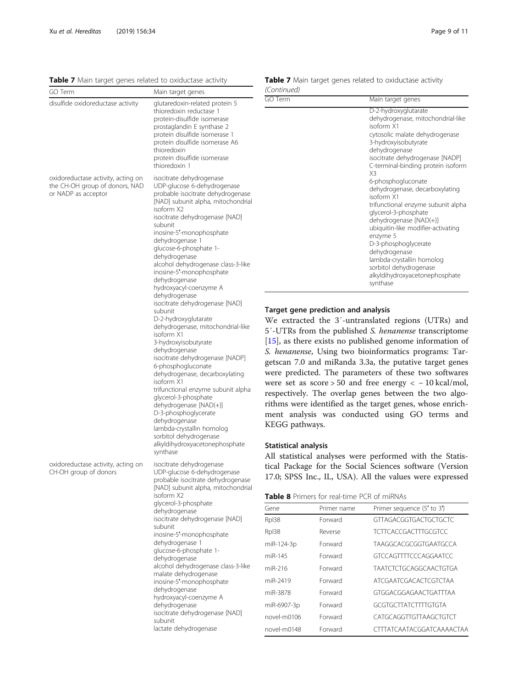<span id="page-8-0"></span>Table 7 Main target genes related to oxiductase activity

| GO Term                                                                                     | Main target genes                                                                                                                                                                                                                                                                                                                                                                                                                                                                                                                                                                                                                                                                                                                                                                                                                                                                                                                     |
|---------------------------------------------------------------------------------------------|---------------------------------------------------------------------------------------------------------------------------------------------------------------------------------------------------------------------------------------------------------------------------------------------------------------------------------------------------------------------------------------------------------------------------------------------------------------------------------------------------------------------------------------------------------------------------------------------------------------------------------------------------------------------------------------------------------------------------------------------------------------------------------------------------------------------------------------------------------------------------------------------------------------------------------------|
| disulfide oxidoreductase activity                                                           | glutaredoxin-related protein 5<br>thioredoxin reductase 1<br>protein-disulfide isomerase<br>prostaglandin E synthase 2<br>protein disulfide isomerase 1<br>protein disulfide isomerase A6<br>thioredoxin<br>protein disulfide isomerase<br>thioredoxin 1                                                                                                                                                                                                                                                                                                                                                                                                                                                                                                                                                                                                                                                                              |
| oxidoreductase activity, acting on<br>the CH-OH group of donors, NAD<br>or NADP as acceptor | isocitrate dehydrogenase<br>UDP-glucose 6-dehydrogenase<br>probable isocitrate dehydrogenase<br>[NAD] subunit alpha, mitochondrial<br>isoform X2<br>isocitrate dehydrogenase [NAD]<br>subunit<br>inosine-5'-monophosphate<br>dehydrogenase 1<br>glucose-6-phosphate 1-<br>dehydrogenase<br>alcohol dehydrogenase class-3-like<br>inosine-5'-monophosphate<br>dehydrogenase<br>hydroxyacyl-coenzyme A<br>dehydrogenase<br>isocitrate dehydrogenase [NAD]<br>subunit<br>D-2-hydroxyglutarate<br>dehydrogenase, mitochondrial-like<br>isoform X1<br>3-hydroxyisobutyrate<br>dehydrogenase<br>isocitrate dehydrogenase [NADP]<br>6-phosphogluconate<br>dehydrogenase, decarboxylating<br>isoform X1<br>trifunctional enzyme subunit alpha<br>glycerol-3-phosphate<br>dehydrogenase [NAD(+)]<br>D-3-phosphoglycerate<br>dehydrogenase<br>lambda-crystallin homolog<br>sorbitol dehydrogenase<br>alkyldihydroxyacetonephosphate<br>synthase |
| oxidoreductase activity, acting on<br>CH-OH group of donors                                 | isocitrate dehydrogenase<br>UDP-glucose 6-dehydrogenase<br>probable isocitrate dehydrogenase<br>[NAD] subunit alpha, mitochondrial<br>isoform X2<br>glycerol-3-phosphate<br>dehydrogenase<br>isocitrate dehydrogenase [NAD]<br>subunit<br>inosine-5'-monophosphate<br>dehydrogenase 1<br>glucose-6-phosphate 1-<br>dehydrogenase<br>alcohol dehydrogenase class-3-like<br>malate dehydrogenase<br>inosine-5'-monophosphate<br>dehydrogenase<br>hydroxyacyl-coenzyme A<br>dehydrogenase<br>isocitrate dehydrogenase [NAD]<br>subunit<br>lactate dehydrogenase                                                                                                                                                                                                                                                                                                                                                                          |

|             |  |  | Table 7 Main target genes related to oxiductase activity |  |
|-------------|--|--|----------------------------------------------------------|--|
| (Continued) |  |  |                                                          |  |

| <b>GO</b> Term | Main target genes                                                                                                                                                                                                                                                                         |
|----------------|-------------------------------------------------------------------------------------------------------------------------------------------------------------------------------------------------------------------------------------------------------------------------------------------|
|                | D-2-hydroxyglutarate<br>dehydrogenase, mitochondrial-like<br>isoform X1<br>cytosolic malate dehydrogenase<br>3-hydroxyisobutyrate<br>dehydrogenase<br>isocitrate dehydrogenase [NADP]<br>C-terminal-binding protein isoform<br>X3<br>6-phosphogluconate<br>dehydrogenase, decarboxylating |
|                | isoform X1<br>trifunctional enzyme subunit alpha<br>glycerol-3-phosphate<br>dehydrogenase [NAD(+)]<br>ubiquitin-like modifier-activating<br>enzyme 5<br>D-3-phosphoglycerate<br>dehydrogenase                                                                                             |
|                | lambda-crystallin homolog<br>sorbitol dehydrogenase<br>alkyldihydroxyacetonephosphate<br>synthase                                                                                                                                                                                         |

#### rget gene prediction and analysis

We extracted the 3′-untranslated regions (UTRs) and -UTRs from the published S. henanense transcriptome  $5$ , as there exists no published genome information of henanense, Using two bioinformatics programs: Tartscan 7.0 and miRanda 3.3a, the putative target genes ere predicted. The parameters of these two softwares ere set as score > 50 and free energy  $<-10$  kcal/mol, spectively. The overlap genes between the two algohms were identified as the target genes, whose enrichment analysis was conducted using GO terms and EGG pathways.

#### atistical analysis

All statistical analyses were performed with the Statistal Package for the Social Sciences software (Version 17.0; SPSS Inc., IL, USA). All the values were expressed

| <b>Table 8</b> Primers for real-time PCR of miRNAs |
|----------------------------------------------------|
|----------------------------------------------------|

| Gene        | Primer name | Primer sequence (5' to 3')   |
|-------------|-------------|------------------------------|
| Rpl38       | Forward     | GTTAGACGGTGACTGCTGCTC        |
| Rpl38       | Reverse     | TCTTCACCGACTTTGCGTCC         |
| miR-124-3p  | Forward     | <b>TAAGGCACGCGGTGAATGCCA</b> |
| miR-145     | Forward     | <b>GTCCAGTTTTCCCAGGAATCC</b> |
| miR-216     | Forward     | TAATCTCTGCAGGCAACTGTGA       |
| miR-2419    | Forward     | ATCGAATCGACACTCGTCTAA        |
| miR-3878    | Forward     | GTGGACGGAGAACTGATTTAA        |
| miR-6907-3p | Forward     | GCGTGCTTATCTTTTGTGTA         |
| novel-m0106 | Forward     | CATGCAGGTTGTTAAGCTGTCT       |
| novel-m0148 | Forward     | CTTTATCAATACGGATCAAAACTAA    |
|             |             |                              |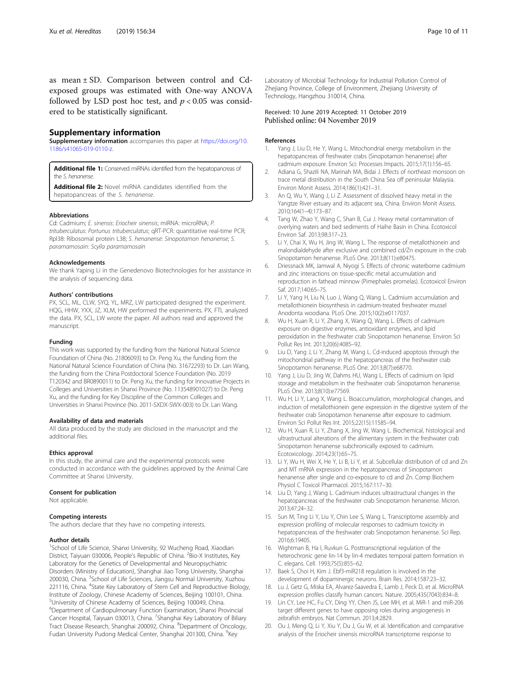<span id="page-9-0"></span>as mean ± SD. Comparison between control and Cdexposed groups was estimated with One-way ANOVA followed by LSD post hoc test, and  $p < 0.05$  was considered to be statistically significant.

#### Supplementary information

Supplementary information accompanies this paper at [https://doi.org/10.](https://doi.org/10.1186/s41065-019-0110-z) [1186/s41065-019-0110-z](https://doi.org/10.1186/s41065-019-0110-z).

Additional file 1: Conserved miRNAs identified from the hepatopancreas of the S. henanense.

Additional file 2: Novel miRNA candidates identified from the hepatopancreas of the S. henanense.

#### Abbreviations

Cd: Cadmium; E. sinensis: Eriocheir sinensis; miRNA: microRNA; P. trituberculatus: Portunus trituberculatus; qRT-PCR: quantitative real-time PCR; Rpl38: Ribosomal protein L38; S. henanense: Sinopotamon henanense; S. paramamosain: Scylla paramamosain

#### Acknowledgements

We thank Yaping Li in the Genedenovo Biotechnologies for her assistance in the analysis of sequencing data.

#### Authors' contributions

PX, SCL, ML, CLW, SYQ, YL, MRZ, LW participated designed the experiment. HQG, HHW, YXX, JZ, XLM, HW performed the experiments. PX, FTL analyzed the data. PX, SCL, LW wrote the paper. All authors read and approved the manuscript.

#### Funding

This work was supported by the funding from the National Natural Science Foundation of China (No. 21806093) to Dr. Peng Xu, the funding from the National Natural Science Foundation of China (No. 31672293) to Dr. Lan Wang, the funding from the China Postdoctoral Science Foundation (No. 2019 T120342 and BR0890011) to Dr. Peng Xu, the funding for Innovative Projects in Colleges and Universities in Shanxi Province (No. 113548901027) to Dr. Peng Xu, and the funding for Key Discipline of the Common Colleges and Universities in Shanxi Province (No. 2011-SXDX-SWX-003) to Dr. Lan Wang.

#### Availability of data and materials

All data produced by the study are disclosed in the manuscript and the additional files.

#### Ethics approval

In this study, the animal care and the experimental protocols were conducted in accordance with the guidelines approved by the Animal Care Committee at Shanxi University.

#### Consent for publication

Not applicable.

#### Competing interests

The authors declare that they have no competing interests.

#### Author details

<sup>1</sup>School of Life Science, Shanxi University, 92 Wucheng Road, Xiaodian District, Taiyuan 030006, People's Republic of China. <sup>2</sup>Bio-X Institutes, Key Laboratory for the Genetics of Developmental and Neuropsychiatric Disorders (Ministry of Education), Shanghai Jiao Tong University, Shanghai 200030, China. <sup>3</sup>School of Life Sciences, Jiangsu Normal University, Xuzhou 221116, China. <sup>4</sup>State Key Laboratory of Stem Cell and Reproductive Biology, Institute of Zoology, Chinese Academy of Sciences, Beijing 100101, China. 5 University of Chinese Academy of Sciences, Beijing 100049, China. 6 Department of Cardiopulmonary Function Examination, Shanxi Provincial Cancer Hospital, Taiyuan 030013, China. <sup>7</sup>Shanghai Key Laboratory of Biliary Tract Disease Research, Shanghai 200092, China. <sup>8</sup>Department of Oncology, Fudan University Pudong Medical Center, Shanghai 201300, China. <sup>9</sup>Key

Laboratory of Microbial Technology for Industrial Pollution Control of Zhejiang Province, College of Environment, Zhejiang University of Technology, Hangzhou 310014, China.

# Received: 10 June 2019 Accepted: 11 October 2019<br>Published online: 04 November 2019

#### References

- 1. Yang J, Liu D, He Y, Wang L. Mitochondrial energy metabolism in the hepatopancreas of freshwater crabs (Sinopotamon henanense) after cadmium exposure. Environ Sci: Processes Impacts. 2015;17(1):156–65.
- 2. Adiana G, Shazili NA, Marinah MA, Bidai J. Effects of northeast monsoon on trace metal distribution in the South China Sea off peninsular Malaysia. Environ Monit Assess. 2014;186(1):421–31.
- 3. An Q, Wu Y, Wang J, Li Z. Assessment of dissolved heavy metal in the Yangtze River estuary and its adjacent sea, China. Environ Monit Assess. 2010;164(1–4):173–87.
- 4. Tang W, Zhao Y, Wang C, Shan B, Cui J. Heavy metal contamination of overlying waters and bed sediments of Haihe Basin in China. Ecotoxicol Environ Saf. 2013;98:317–23.
- Li Y, Chai X, Wu H, Jing W, Wang L. The response of metallothionein and malondialdehyde after exclusive and combined cd/Zn exposure in the crab Sinopotamon henanense. PLoS One. 2013;8(11):e80475.
- 6. Driessnack MK, Jamwal A, Niyogi S. Effects of chronic waterborne cadmium and zinc interactions on tissue-specific metal accumulation and reproduction in fathead minnow (Pimephales promelas). Ecotoxicol Environ Saf. 2017;140:65–75.
- 7. Li Y, Yang H, Liu N, Luo J, Wang Q, Wang L. Cadmium accumulation and metallothionein biosynthesis in cadmium-treated freshwater mussel Anodonta woodiana. PLoS One. 2015;10(2):e0117037.
- 8. Wu H, Xuan R, Li Y, Zhang X, Wang Q, Wang L. Effects of cadmium exposure on digestive enzymes, antioxidant enzymes, and lipid peroxidation in the freshwater crab Sinopotamon henanense. Environ Sci Pollut Res Int. 2013;20(6):4085–92.
- 9. Liu D, Yang J, Li Y, Zhang M, Wang L. Cd-induced apoptosis through the mitochondrial pathway in the hepatopancreas of the freshwater crab Sinopotamon henanense. PLoS One. 2013;8(7):e68770.
- 10. Yang J, Liu D, Jing W, Dahms HU, Wang L. Effects of cadmium on lipid storage and metabolism in the freshwater crab Sinopotamon henanense. PLoS One. 2013;8(10):e77569.
- 11. Wu H, Li Y, Lang X, Wang L. Bioaccumulation, morphological changes, and induction of metallothionein gene expression in the digestive system of the freshwater crab Sinopotamon henanense after exposure to cadmium. Environ Sci Pollut Res Int. 2015;22(15):11585–94.
- 12. Wu H, Xuan R, Li Y, Zhang X, Jing W, Wang L. Biochemical, histological and ultrastructural alterations of the alimentary system in the freshwater crab Sinopotamon henanense subchronically exposed to cadmium. Ecotoxicology. 2014;23(1):65–75.
- 13. Li Y, Wu H, Wei X, He Y, Li B, Li Y, et al. Subcellular distribution of cd and Zn and MT mRNA expression in the hepatopancreas of Sinopotamon henanense after single and co-exposure to cd and Zn. Comp Biochem Physiol C Toxicol Pharmacol. 2015;167:117–30.
- 14. Liu D, Yang J, Wang L. Cadmium induces ultrastructural changes in the hepatopancreas of the freshwater crab Sinopotamon henanense. Micron. 2013;47:24–32.
- 15. Sun M, Ting Li Y, Liu Y, Chin Lee S, Wang L. Transcriptome assembly and expression profiling of molecular responses to cadmium toxicity in hepatopancreas of the freshwater crab Sinopotamon henanense. Sci Rep. 2016;6:19405.
- 16. Wightman B, Ha I, Ruvkun G. Posttranscriptional regulation of the heterochronic gene lin-14 by lin-4 mediates temporal pattern formation in C. elegans. Cell. 1993;75(5):855–62.
- 17. Baek S, Choi H, Kim J. Ebf3-miR218 regulation is involved in the development of dopaminergic neurons. Brain Res. 2014;1587:23–32.
- 18. Lu J, Getz G, Miska EA, Alvarez-Saavedra E, Lamb J, Peck D, et al. MicroRNA expression profiles classify human cancers. Nature. 2005;435(7043):834–8.
- 19. Lin CY, Lee HC, Fu CY, Ding YY, Chen JS, Lee MH, et al. MiR-1 and miR-206 target different genes to have opposing roles during angiogenesis in zebrafish embryos. Nat Commun. 2013;4:2829.
- 20. Ou J, Meng Q, Li Y, Xiu Y, Du J, Gu W, et al. Identification and comparative analysis of the Eriocheir sinensis microRNA transcriptome response to